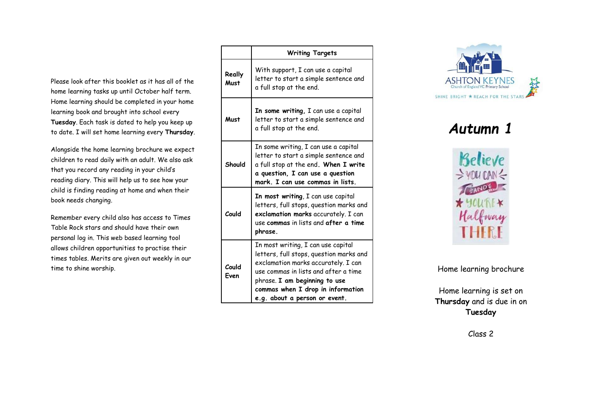Please look after this booklet as it has all of the home learning tasks up until October half term. Home learning should be completed in your home learning book and brought into school every **Tuesday**. Each task is dated to help you keep up to date. I will set home learning every **Thursday** .

Alongside the home learning brochure we expect children to read daily with an adult. We also ask that you record any reading in your child's reading diary. This will help us to see how your child is finding reading at home and when their book needs changing.

Remember every child also has access to Times Table Rock stars and should have their own personal log in. This web based learning tool allows children opportunities to practise their times tables. Merits are given out weekly in our time to shine worship.

|                | <b>Writing Targets</b>                                                                                                                                                                                                                                              |
|----------------|---------------------------------------------------------------------------------------------------------------------------------------------------------------------------------------------------------------------------------------------------------------------|
| Really<br>Must | With support, I can use a capital<br>letter to start a simple sentence and<br>a full stop at the end.                                                                                                                                                               |
| Must           | In some writing, I can use a capital<br>letter to start a simple sentence and<br>a full stop at the end.                                                                                                                                                            |
| Should         | In some writing, I can use a capital<br>letter to start a simple sentence and<br>a full stop at the end. When I write<br>a question, I can use a question<br>mark. I can use commas in lists.                                                                       |
| Could          | In most writing, I can use capital<br>letters, full stops, question marks and<br>exclamation marks accurately. I can<br>use commas in lists and after a time<br>phrase.                                                                                             |
| Could<br>Even  | In most writing, I can use capital<br>letters, full stops, question marks and<br>exclamation marks accurately. I can<br>use commas in lists and after a time<br>phrase. I am beginning to use<br>commas when I drop in information<br>e.g. about a person or event. |



# *Autumn 1*



# Home learning brochure

Home learning is set on **Thursday** and is due in on **Tuesday** 

Class 2